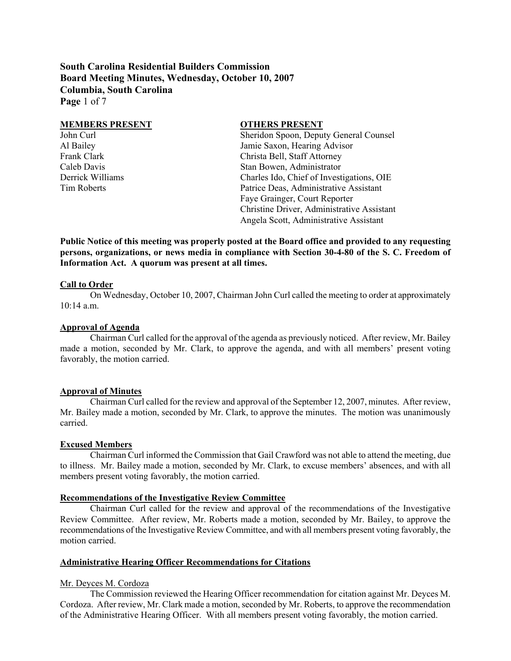**South Carolina Residential Builders Commission Board Meeting Minutes, Wednesday, October 10, 2007 Columbia, South Carolina Page** 1 of 7

| <b>MEMBERS PRESENT</b> | <b>OTHERS PRESENT</b>                      |
|------------------------|--------------------------------------------|
| John Curl              | Sheridon Spoon, Deputy General Counsel     |
| Al Bailey              | Jamie Saxon, Hearing Advisor               |
| Frank Clark            | Christa Bell, Staff Attorney               |
| Caleb Davis            | Stan Bowen, Administrator                  |
| Derrick Williams       | Charles Ido, Chief of Investigations, OIE  |
| Tim Roberts            | Patrice Deas, Administrative Assistant     |
|                        | Faye Grainger, Court Reporter              |
|                        | Christine Driver, Administrative Assistant |
|                        | Angela Scott, Administrative Assistant     |

**Public Notice of this meeting was properly posted at the Board office and provided to any requesting persons, organizations, or news media in compliance with Section 30-4-80 of the S. C. Freedom of Information Act. A quorum was present at all times.** 

#### **Call to Order**

On Wednesday, October 10, 2007, Chairman John Curl called the meeting to order at approximately 10:14 a.m.

### **Approval of Agenda**

Chairman Curl called for the approval of the agenda as previously noticed. After review, Mr. Bailey made a motion, seconded by Mr. Clark, to approve the agenda, and with all members' present voting favorably, the motion carried.

#### **Approval of Minutes**

Chairman Curl called for the review and approval of the September 12, 2007, minutes. After review, Mr. Bailey made a motion, seconded by Mr. Clark, to approve the minutes. The motion was unanimously carried.

#### **Excused Members**

Chairman Curl informed the Commission that Gail Crawford was not able to attend the meeting, due to illness. Mr. Bailey made a motion, seconded by Mr. Clark, to excuse members' absences, and with all members present voting favorably, the motion carried.

### **Recommendations of the Investigative Review Committee**

Chairman Curl called for the review and approval of the recommendations of the Investigative Review Committee. After review, Mr. Roberts made a motion, seconded by Mr. Bailey, to approve the recommendations of the Investigative Review Committee, and with all members present voting favorably, the motion carried.

#### **Administrative Hearing Officer Recommendations for Citations**

### Mr. Deyces M. Cordoza

The Commission reviewed the Hearing Officer recommendation for citation against Mr. Deyces M. Cordoza. After review, Mr. Clark made a motion, seconded by Mr. Roberts, to approve the recommendation of the Administrative Hearing Officer. With all members present voting favorably, the motion carried.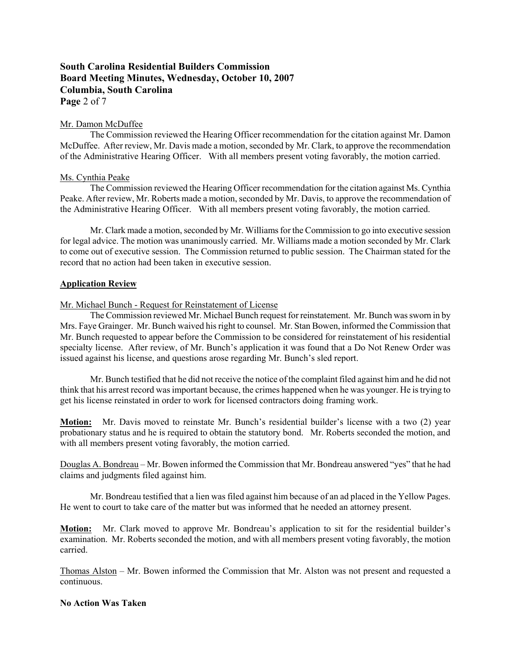# **South Carolina Residential Builders Commission Board Meeting Minutes, Wednesday, October 10, 2007 Columbia, South Carolina Page** 2 of 7

### Mr. Damon McDuffee

The Commission reviewed the Hearing Officer recommendation for the citation against Mr. Damon McDuffee. After review, Mr. Davis made a motion, seconded by Mr. Clark, to approve the recommendation of the Administrative Hearing Officer. With all members present voting favorably, the motion carried.

### Ms. Cynthia Peake

The Commission reviewed the Hearing Officer recommendation for the citation against Ms. Cynthia Peake. After review, Mr. Roberts made a motion, seconded by Mr. Davis, to approve the recommendation of the Administrative Hearing Officer. With all members present voting favorably, the motion carried.

Mr. Clark made a motion, seconded by Mr. Williams for the Commission to go into executive session for legal advice. The motion was unanimously carried. Mr. Williams made a motion seconded by Mr. Clark to come out of executive session. The Commission returned to public session. The Chairman stated for the record that no action had been taken in executive session.

### **Application Review**

Mr. Michael Bunch - Request for Reinstatement of License

The Commission reviewed Mr. Michael Bunch request for reinstatement. Mr. Bunch was sworn in by Mrs. Faye Grainger. Mr. Bunch waived his right to counsel. Mr. Stan Bowen, informed the Commission that Mr. Bunch requested to appear before the Commission to be considered for reinstatement of his residential specialty license. After review, of Mr. Bunch's application it was found that a Do Not Renew Order was issued against his license, and questions arose regarding Mr. Bunch's sled report.

Mr. Bunch testified that he did not receive the notice of the complaint filed against him and he did not think that his arrest record was important because, the crimes happened when he was younger. He is trying to get his license reinstated in order to work for licensed contractors doing framing work.

**Motion:** Mr. Davis moved to reinstate Mr. Bunch's residential builder's license with a two (2) year probationary status and he is required to obtain the statutory bond. Mr. Roberts seconded the motion, and with all members present voting favorably, the motion carried.

Douglas A. Bondreau – Mr. Bowen informed the Commission that Mr. Bondreau answered "yes" that he had claims and judgments filed against him.

Mr. Bondreau testified that a lien was filed against him because of an ad placed in the Yellow Pages. He went to court to take care of the matter but was informed that he needed an attorney present.

**Motion:** Mr. Clark moved to approve Mr. Bondreau's application to sit for the residential builder's examination. Mr. Roberts seconded the motion, and with all members present voting favorably, the motion carried.

Thomas Alston – Mr. Bowen informed the Commission that Mr. Alston was not present and requested a continuous.

### **No Action Was Taken**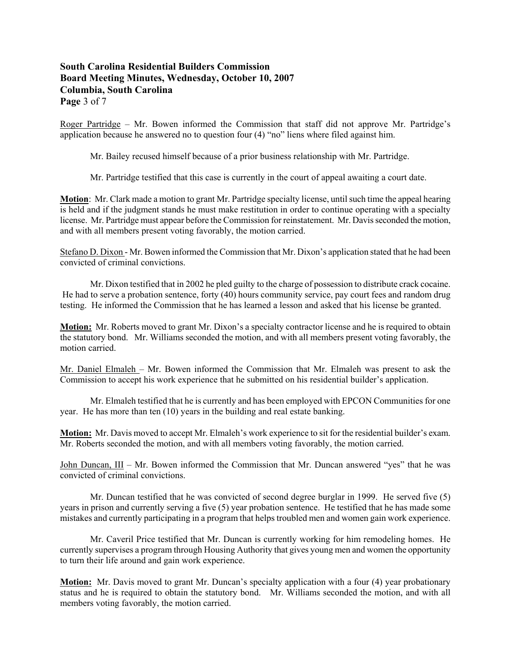# **South Carolina Residential Builders Commission Board Meeting Minutes, Wednesday, October 10, 2007 Columbia, South Carolina Page** 3 of 7

Roger Partridge – Mr. Bowen informed the Commission that staff did not approve Mr. Partridge's application because he answered no to question four (4) "no" liens where filed against him.

Mr. Bailey recused himself because of a prior business relationship with Mr. Partridge.

Mr. Partridge testified that this case is currently in the court of appeal awaiting a court date.

**Motion**: Mr. Clark made a motion to grant Mr. Partridge specialty license, until such time the appeal hearing is held and if the judgment stands he must make restitution in order to continue operating with a specialty license. Mr. Partridge must appear before the Commission for reinstatement. Mr. Davis seconded the motion, and with all members present voting favorably, the motion carried.

Stefano D. Dixon - Mr. Bowen informed the Commission that Mr. Dixon's application stated that he had been convicted of criminal convictions.

Mr. Dixon testified that in 2002 he pled guilty to the charge of possession to distribute crack cocaine. He had to serve a probation sentence, forty (40) hours community service, pay court fees and random drug testing. He informed the Commission that he has learned a lesson and asked that his license be granted.

**Motion:** Mr. Roberts moved to grant Mr. Dixon's a specialty contractor license and he is required to obtain the statutory bond. Mr. Williams seconded the motion, and with all members present voting favorably, the motion carried.

Mr. Daniel Elmaleh – Mr. Bowen informed the Commission that Mr. Elmaleh was present to ask the Commission to accept his work experience that he submitted on his residential builder's application.

Mr. Elmaleh testified that he is currently and has been employed with EPCON Communities for one year. He has more than ten (10) years in the building and real estate banking.

**Motion:** Mr. Davis moved to accept Mr. Elmaleh's work experience to sit for the residential builder's exam. Mr. Roberts seconded the motion, and with all members voting favorably, the motion carried.

John Duncan, III – Mr. Bowen informed the Commission that Mr. Duncan answered "yes" that he was convicted of criminal convictions.

Mr. Duncan testified that he was convicted of second degree burglar in 1999. He served five (5) years in prison and currently serving a five (5) year probation sentence. He testified that he has made some mistakes and currently participating in a program that helps troubled men and women gain work experience.

Mr. Caveril Price testified that Mr. Duncan is currently working for him remodeling homes. He currently supervises a program through Housing Authority that gives young men and women the opportunity to turn their life around and gain work experience.

**Motion:** Mr. Davis moved to grant Mr. Duncan's specialty application with a four (4) year probationary status and he is required to obtain the statutory bond. Mr. Williams seconded the motion, and with all members voting favorably, the motion carried.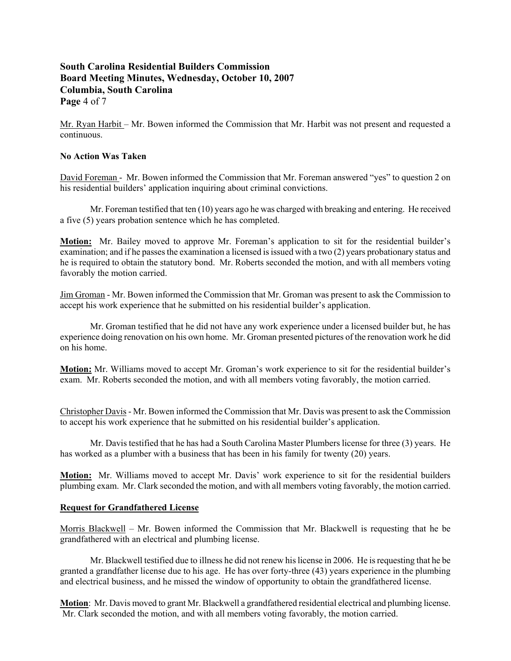# **South Carolina Residential Builders Commission Board Meeting Minutes, Wednesday, October 10, 2007 Columbia, South Carolina Page** 4 of 7

Mr. Ryan Harbit – Mr. Bowen informed the Commission that Mr. Harbit was not present and requested a continuous.

## **No Action Was Taken**

David Foreman - Mr. Bowen informed the Commission that Mr. Foreman answered "yes" to question 2 on his residential builders' application inquiring about criminal convictions.

Mr. Foreman testified that ten (10) years ago he was charged with breaking and entering. He received a five (5) years probation sentence which he has completed.

**Motion:** Mr. Bailey moved to approve Mr. Foreman's application to sit for the residential builder's examination; and if he passes the examination a licensed is issued with a two (2) years probationary status and he is required to obtain the statutory bond. Mr. Roberts seconded the motion, and with all members voting favorably the motion carried.

Jim Groman - Mr. Bowen informed the Commission that Mr. Groman was present to ask the Commission to accept his work experience that he submitted on his residential builder's application.

Mr. Groman testified that he did not have any work experience under a licensed builder but, he has experience doing renovation on his own home. Mr. Groman presented pictures of the renovation work he did on his home.

**Motion:** Mr. Williams moved to accept Mr. Groman's work experience to sit for the residential builder's exam. Mr. Roberts seconded the motion, and with all members voting favorably, the motion carried.

Christopher Davis - Mr. Bowen informed the Commission that Mr. Davis was present to ask the Commission to accept his work experience that he submitted on his residential builder's application.

Mr. Davis testified that he has had a South Carolina Master Plumbers license for three (3) years. He has worked as a plumber with a business that has been in his family for twenty (20) years.

**Motion:** Mr. Williams moved to accept Mr. Davis' work experience to sit for the residential builders plumbing exam. Mr. Clark seconded the motion, and with all members voting favorably, the motion carried.

## **Request for Grandfathered License**

Morris Blackwell – Mr. Bowen informed the Commission that Mr. Blackwell is requesting that he be grandfathered with an electrical and plumbing license.

Mr. Blackwell testified due to illness he did not renew his license in 2006. He is requesting that he be granted a grandfather license due to his age. He has over forty-three (43) years experience in the plumbing and electrical business, and he missed the window of opportunity to obtain the grandfathered license.

**Motion**: Mr. Davis moved to grant Mr. Blackwell a grandfathered residential electrical and plumbing license. Mr. Clark seconded the motion, and with all members voting favorably, the motion carried.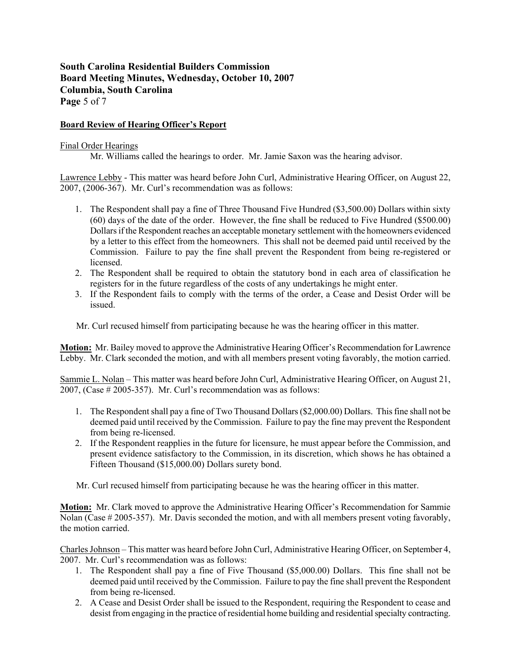# **South Carolina Residential Builders Commission Board Meeting Minutes, Wednesday, October 10, 2007 Columbia, South Carolina Page** 5 of 7

## **Board Review of Hearing Officer's Report**

### Final Order Hearings

Mr. Williams called the hearings to order. Mr. Jamie Saxon was the hearing advisor.

Lawrence Lebby - This matter was heard before John Curl, Administrative Hearing Officer, on August 22, 2007, (2006-367). Mr. Curl's recommendation was as follows:

- 1. The Respondent shall pay a fine of Three Thousand Five Hundred (\$3,500.00) Dollars within sixty (60) days of the date of the order. However, the fine shall be reduced to Five Hundred (\$500.00) Dollars if the Respondent reaches an acceptable monetary settlement with the homeowners evidenced by a letter to this effect from the homeowners. This shall not be deemed paid until received by the Commission. Failure to pay the fine shall prevent the Respondent from being re-registered or licensed.
- 2. The Respondent shall be required to obtain the statutory bond in each area of classification he registers for in the future regardless of the costs of any undertakings he might enter.
- 3. If the Respondent fails to comply with the terms of the order, a Cease and Desist Order will be issued.

Mr. Curl recused himself from participating because he was the hearing officer in this matter.

**Motion:** Mr. Bailey moved to approve the Administrative Hearing Officer's Recommendation for Lawrence Lebby. Mr. Clark seconded the motion, and with all members present voting favorably, the motion carried.

Sammie L. Nolan – This matter was heard before John Curl, Administrative Hearing Officer, on August 21, 2007, (Case # 2005-357). Mr. Curl's recommendation was as follows:

- 1. The Respondent shall pay a fine of Two Thousand Dollars (\$2,000.00) Dollars. This fine shall not be deemed paid until received by the Commission. Failure to pay the fine may prevent the Respondent from being re-licensed.
- 2. If the Respondent reapplies in the future for licensure, he must appear before the Commission, and present evidence satisfactory to the Commission, in its discretion, which shows he has obtained a Fifteen Thousand (\$15,000.00) Dollars surety bond.

Mr. Curl recused himself from participating because he was the hearing officer in this matter.

**Motion:** Mr. Clark moved to approve the Administrative Hearing Officer's Recommendation for Sammie Nolan (Case # 2005-357). Mr. Davis seconded the motion, and with all members present voting favorably, the motion carried.

Charles Johnson – This matter was heard before John Curl, Administrative Hearing Officer, on September 4, 2007. Mr. Curl's recommendation was as follows:

- 1. The Respondent shall pay a fine of Five Thousand (\$5,000.00) Dollars. This fine shall not be deemed paid until received by the Commission. Failure to pay the fine shall prevent the Respondent from being re-licensed.
- 2. A Cease and Desist Order shall be issued to the Respondent, requiring the Respondent to cease and desist from engaging in the practice of residential home building and residential specialty contracting.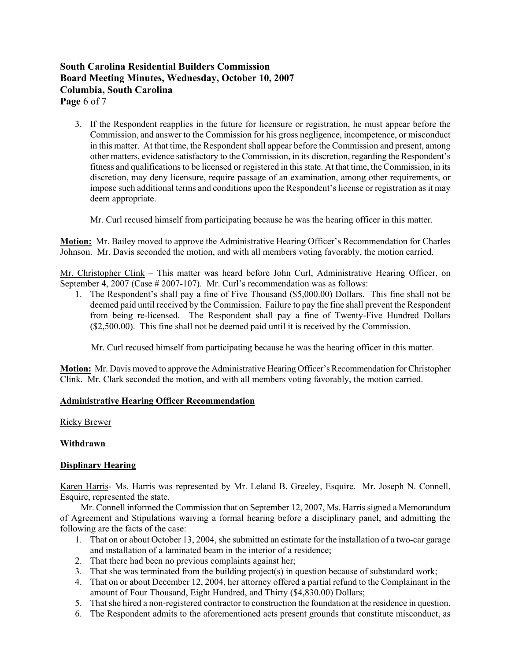# **South Carolina Residential Builders Commission Board Meeting Minutes, Wednesday, October 10, 2007 Columbia, South Carolina Page** 6 of 7

3. If the Respondent reapplies in the future for licensure or registration, he must appear before the Commission, and answer to the Commission for his gross negligence, incompetence, or misconduct in this matter. At that time, the Respondent shall appear before the Commission and present, among other matters, evidence satisfactory to the Commission, in its discretion, regarding the Respondent's fitness and qualifications to be licensed or registered in this state. At that time, the Commission, in its discretion, may deny licensure, require passage of an examination, among other requirements, or impose such additional terms and conditions upon the Respondent's license or registration as it may deem appropriate.

Mr. Curl recused himself from participating because he was the hearing officer in this matter.

**Motion:** Mr. Bailey moved to approve the Administrative Hearing Officer's Recommendation for Charles Johnson. Mr. Davis seconded the motion, and with all members voting favorably, the motion carried.

Mr. Christopher Clink – This matter was heard before John Curl, Administrative Hearing Officer, on September 4, 2007 (Case # 2007-107). Mr. Curl's recommendation was as follows:

1. The Respondent's shall pay a fine of Five Thousand (\$5,000.00) Dollars. This fine shall not be deemed paid until received by the Commission. Failure to pay the fine shall prevent the Respondent from being re-licensed. The Respondent shall pay a fine of Twenty-Five Hundred Dollars (\$2,500.00). This fine shall not be deemed paid until it is received by the Commission.

Mr. Curl recused himself from participating because he was the hearing officer in this matter.

**Motion:** Mr. Davis moved to approve the Administrative Hearing Officer's Recommendation for Christopher Clink. Mr. Clark seconded the motion, and with all members voting favorably, the motion carried.

## **Administrative Hearing Officer Recommendation**

Ricky Brewer

**Withdrawn** 

## **Displinary Hearing**

Karen Harris- Ms. Harris was represented by Mr. Leland B. Greeley, Esquire. Mr. Joseph N. Connell, Esquire, represented the state.

 Mr. Connell informed the Commission that on September 12, 2007, Ms. Harris signed a Memorandum of Agreement and Stipulations waiving a formal hearing before a disciplinary panel, and admitting the following are the facts of the case:

- 1. That on or about October 13, 2004, she submitted an estimate for the installation of a two-car garage and installation of a laminated beam in the interior of a residence;
- 2. That there had been no previous complaints against her;
- 3. That she was terminated from the building project(s) in question because of substandard work;
- 4. That on or about December 12, 2004, her attorney offered a partial refund to the Complainant in the amount of Four Thousand, Eight Hundred, and Thirty (\$4,830.00) Dollars;
- 5. That she hired a non-registered contractor to construction the foundation at the residence in question.
- 6. The Respondent admits to the aforementioned acts present grounds that constitute misconduct, as